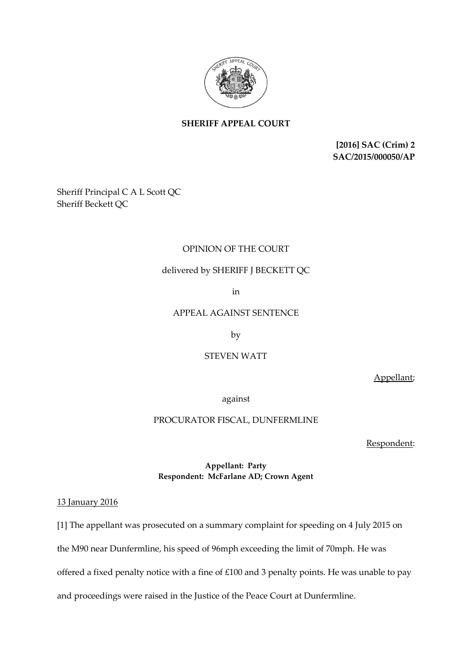

# **SHERIFF APPEAL COURT**

**[2016] SAC (Crim) 2 SAC/2015/000050/AP**

Sheriff Principal C A L Scott QC Sheriff Beckett QC

### OPINION OF THE COURT

## delivered by SHERIFF J BECKETT QC

in

#### APPEAL AGAINST SENTENCE

by

#### STEVEN WATT

Appellant;

against

### PROCURATOR FISCAL, DUNFERMLINE

Respondent:

#### **Appellant: Party Respondent: McFarlane AD; Crown Agent**

13 January 2016

[1] The appellant was prosecuted on a summary complaint for speeding on 4 July 2015 on

the M90 near Dunfermline, his speed of 96mph exceeding the limit of 70mph. He was

offered a fixed penalty notice with a fine of £100 and 3 penalty points. He was unable to pay

and proceedings were raised in the Justice of the Peace Court at Dunfermline.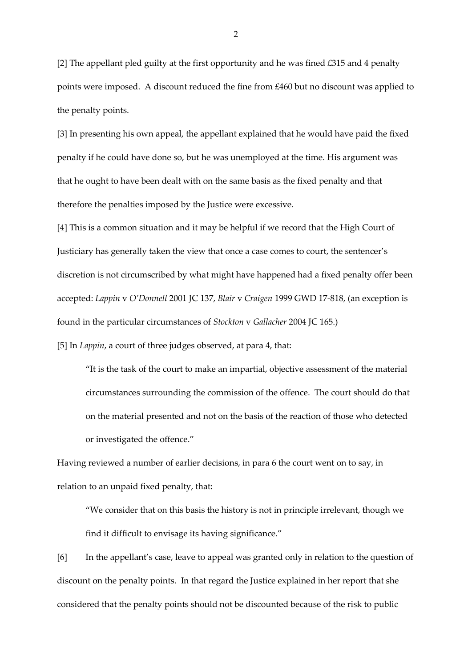[2] The appellant pled guilty at the first opportunity and he was fined £315 and 4 penalty points were imposed. A discount reduced the fine from £460 but no discount was applied to the penalty points.

[3] In presenting his own appeal, the appellant explained that he would have paid the fixed penalty if he could have done so, but he was unemployed at the time. His argument was that he ought to have been dealt with on the same basis as the fixed penalty and that therefore the penalties imposed by the Justice were excessive.

[4] This is a common situation and it may be helpful if we record that the High Court of Justiciary has generally taken the view that once a case comes to court, the sentencer's discretion is not circumscribed by what might have happened had a fixed penalty offer been accepted: *Lappin* v *O'Donnell* 2001 JC 137, *Blair* v *Craigen* 1999 GWD 17-818, (an exception is found in the particular circumstances of *Stockton* v *Gallacher* 2004 JC 165.)

[5] In *Lappin*, a court of three judges observed, at para 4, that:

"It is the task of the court to make an impartial, objective assessment of the material circumstances surrounding the commission of the offence. The court should do that on the material presented and not on the basis of the reaction of those who detected or investigated the offence."

Having reviewed a number of earlier decisions, in para 6 the court went on to say, in relation to an unpaid fixed penalty, that:

"We consider that on this basis the history is not in principle irrelevant, though we find it difficult to envisage its having significance."

[6] In the appellant's case, leave to appeal was granted only in relation to the question of discount on the penalty points. In that regard the Justice explained in her report that she considered that the penalty points should not be discounted because of the risk to public

2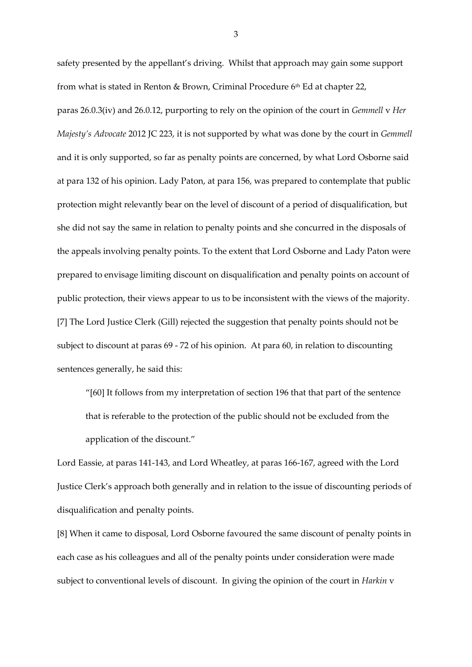safety presented by the appellant's driving. Whilst that approach may gain some support from what is stated in Renton & Brown, Criminal Procedure 6th Ed at chapter 22,

paras 26.0.3(iv) and 26.0.12, purporting to rely on the opinion of the court in *Gemmell* v *Her Majesty's Advocate* 2012 JC 223, it is not supported by what was done by the court in *Gemmell*  and it is only supported, so far as penalty points are concerned, by what Lord Osborne said at para 132 of his opinion. Lady Paton, at para 156, was prepared to contemplate that public protection might relevantly bear on the level of discount of a period of disqualification, but she did not say the same in relation to penalty points and she concurred in the disposals of the appeals involving penalty points. To the extent that Lord Osborne and Lady Paton were prepared to envisage limiting discount on disqualification and penalty points on account of public protection, their views appear to us to be inconsistent with the views of the majority. [7] The Lord Justice Clerk (Gill) rejected the suggestion that penalty points should not be subject to discount at paras 69 - 72 of his opinion. At para 60, in relation to discounting sentences generally, he said this:

"[60] It follows from my interpretation of section 196 that that part of the sentence that is referable to the protection of the public should not be excluded from the application of the discount."

Lord Eassie, at paras 141-143, and Lord Wheatley, at paras 166-167, agreed with the Lord Justice Clerk's approach both generally and in relation to the issue of discounting periods of disqualification and penalty points.

[8] When it came to disposal, Lord Osborne favoured the same discount of penalty points in each case as his colleagues and all of the penalty points under consideration were made subject to conventional levels of discount. In giving the opinion of the court in *Harkin* v